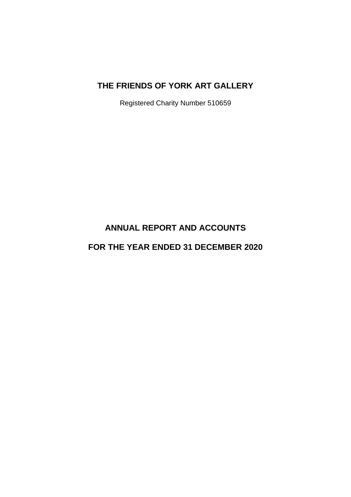Registered Charity Number 510659

# **ANNUAL REPORT AND ACCOUNTS**

# **FOR THE YEAR ENDED 31 DECEMBER 2020**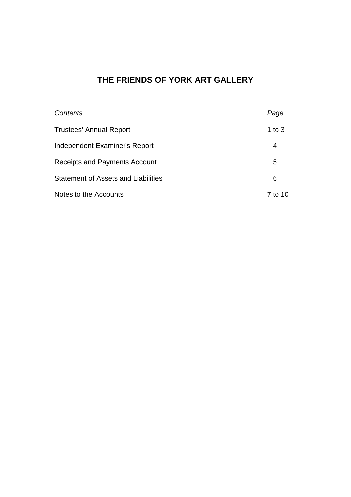| Contents                                   | Page     |
|--------------------------------------------|----------|
| <b>Trustees' Annual Report</b>             | 1 to $3$ |
| Independent Examiner's Report              | 4        |
| Receipts and Payments Account              | 5        |
| <b>Statement of Assets and Liabilities</b> | 6        |
| Notes to the Accounts                      | 7 to 10  |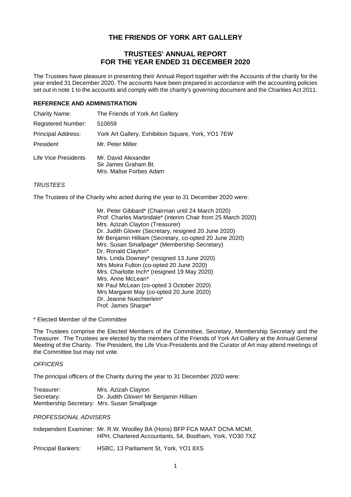### **TRUSTEES' ANNUAL REPORT FOR THE YEAR ENDED 31 DECEMBER 2020**

The Trustees have pleasure in presenting their Annual Report together with the Accounts of the charity for the year ended 31 December 2020. The accounts have been prepared in accordance with the accounting policies set out in note 1 to the accounts and comply with the charity's governing document and the Charities Act 2011.

### **REFERENCE AND ADMINISTRATION**

| <b>Charity Name:</b>      | The Friends of York Art Gallery                                        |
|---------------------------|------------------------------------------------------------------------|
| <b>Registered Number:</b> | 510659                                                                 |
| <b>Principal Address:</b> | York Art Gallery, Exhibition Square, York, YO1 7EW                     |
| President                 | Mr. Peter Miller                                                       |
| Life Vice Presidents      | Mr. David Alexander<br>Sir James Graham Bt.<br>Mrs. Malise Forbes Adam |

### *TRUSTEES*

The Trustees of the Charity who acted during the year to 31 December 2020 were:

 Mr. Peter Gibbard\* (Chairman until 24 March 2020) Prof. Charles Martindale\* (interim Chair from 25 March 2020) Mrs. Azizah Clayton (Treasurer) Dr. Judith Glover (Secretary, resigned 20 June 2020) Mr Benjamin Hilliam (Secretary, co-opted 20 June 2020) Mrs. Susan Smallpage\* (Membership Secretary) Dr. Ronald Clayton\* Mrs. Linda Downey\* (resigned 13 June 2020) Mrs Moira Fulton (co-opted 20 June 2020) Mrs. Charlotte Inch\* (resigned 19 May 2020) Mrs. Anne McLean\* Mr Paul McLean (co-opted 3 October 2020) Mrs Margaret May (co-opted 20 June 2020) Dr. Jeanne Nuechterlein\* Prof. James Sharpe\*

\* Elected Member of the Committee

The Trustees comprise the Elected Members of the Committee, Secretary, Membership Secretary and the Treasurer. The Trustees are elected by the members of the Friends of York Art Gallery at the Annual General Meeting of the Charity. The President, the Life Vice-Presidents and the Curator of Art may attend meetings of the Committee but may not vote.

#### *OFFICERS*

The principal officers of the Charity during the year to 31 December 2020 were:

| Treasurer:                                 | Mrs. Azizah Clayton                    |
|--------------------------------------------|----------------------------------------|
| Secretary:                                 | Dr. Judith Glover/ Mr Benjamin Hilliam |
| Membership Secretary: Mrs. Susan Smallpage |                                        |

#### *PROFESSIONAL ADVISERS*

Independent Examiner: Mr. R.W. Woolley BA (Hons) BFP FCA MAAT DChA MCMI, HPH, Chartered Accountants, 54, Bootham, York, YO30 7XZ

Principal Bankers: HSBC, 13 Parliament St, York, YO1 8XS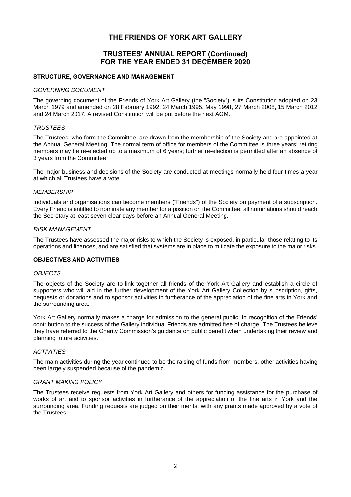### **TRUSTEES' ANNUAL REPORT (Continued) FOR THE YEAR ENDED 31 DECEMBER 2020**

### **STRUCTURE, GOVERNANCE AND MANAGEMENT**

#### *GOVERNING DOCUMENT*

The governing document of the Friends of York Art Gallery (the "Society") is its Constitution adopted on 23 March 1979 and amended on 28 February 1992, 24 March 1995, May 1998, 27 March 2008, 15 March 2012 and 24 March 2017. A revised Constitution will be put before the next AGM.

#### *TRUSTEES*

The Trustees, who form the Committee, are drawn from the membership of the Society and are appointed at the Annual General Meeting. The normal term of office for members of the Committee is three years; retiring members may be re-elected up to a maximum of 6 years; further re-election is permitted after an absence of 3 years from the Committee.

The major business and decisions of the Society are conducted at meetings normally held four times a year at which all Trustees have a vote.

#### *MEMBERSHIP*

Individuals and organisations can become members ("Friends") of the Society on payment of a subscription. Every Friend is entitled to nominate any member for a position on the Committee; all nominations should reach the Secretary at least seven clear days before an Annual General Meeting.

#### *RISK MANAGEMENT*

The Trustees have assessed the major risks to which the Society is exposed, in particular those relating to its operations and finances, and are satisfied that systems are in place to mitigate the exposure to the major risks.

#### **OBJECTIVES AND ACTIVITIES**

#### *OBJECTS*

The objects of the Society are to link together all friends of the York Art Gallery and establish a circle of supporters who will aid in the further development of the York Art Gallery Collection by subscription, gifts, bequests or donations and to sponsor activities in furtherance of the appreciation of the fine arts in York and the surrounding area.

York Art Gallery normally makes a charge for admission to the general public; in recognition of the Friends' contribution to the success of the Gallery individual Friends are admitted free of charge. The Trustees believe they have referred to the Charity Commission's guidance on public benefit when undertaking their review and planning future activities.

#### *ACTIVITIES*

The main activities during the year continued to be the raising of funds from members, other activities having been largely suspended because of the pandemic.

#### *GRANT MAKING POLICY*

The Trustees receive requests from York Art Gallery and others for funding assistance for the purchase of works of art and to sponsor activities in furtherance of the appreciation of the fine arts in York and the surrounding area. Funding requests are judged on their merits, with any grants made approved by a vote of the Trustees.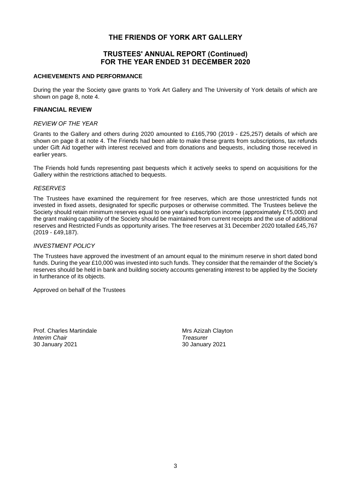### **TRUSTEES' ANNUAL REPORT (Continued) FOR THE YEAR ENDED 31 DECEMBER 2020**

#### **ACHIEVEMENTS AND PERFORMANCE**

During the year the Society gave grants to York Art Gallery and The University of York details of which are shown on page 8, note 4.

### **FINANCIAL REVIEW**

#### *REVIEW OF THE YEAR*

Grants to the Gallery and others during 2020 amounted to £165,790 (2019 - £25,257) details of which are shown on page 8 at note 4. The Friends had been able to make these grants from subscriptions, tax refunds under Gift Aid together with interest received and from donations and bequests, including those received in earlier years.

The Friends hold funds representing past bequests which it actively seeks to spend on acquisitions for the Gallery within the restrictions attached to bequests.

### *RESERVES*

The Trustees have examined the requirement for free reserves, which are those unrestricted funds not invested in fixed assets, designated for specific purposes or otherwise committed. The Trustees believe the Society should retain minimum reserves equal to one year's subscription income (approximately £15,000) and the grant making capability of the Society should be maintained from current receipts and the use of additional reserves and Restricted Funds as opportunity arises. The free reserves at 31 December 2020 totalled £45,767 (2019 - £49,187).

### *INVESTMENT POLICY*

The Trustees have approved the investment of an amount equal to the minimum reserve in short dated bond funds. During the year £10,000 was invested into such funds. They consider that the remainder of the Society's reserves should be held in bank and building society accounts generating interest to be applied by the Society in furtherance of its objects.

Approved on behalf of the Trustees

Prof. Charles Martindale Mateur Mrs Azizah Clayton *Interim Chair Treasurer* 30 January 2021 30 January 2021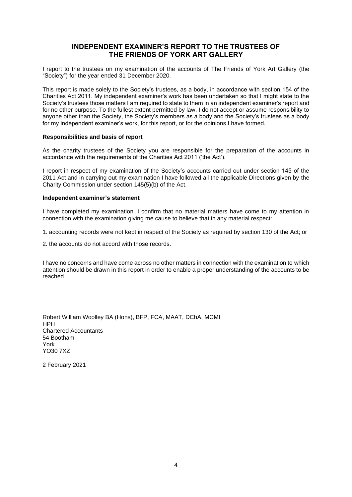### **INDEPENDENT EXAMINER'S REPORT TO THE TRUSTEES OF THE FRIENDS OF YORK ART GALLERY**

I report to the trustees on my examination of the accounts of The Friends of York Art Gallery (the "Society") for the year ended 31 December 2020.

This report is made solely to the Society's trustees, as a body, in accordance with section 154 of the Charities Act 2011. My independent examiner's work has been undertaken so that I might state to the Society's trustees those matters I am required to state to them in an independent examiner's report and for no other purpose. To the fullest extent permitted by law, I do not accept or assume responsibility to anyone other than the Society, the Society's members as a body and the Society's trustees as a body for my independent examiner's work, for this report, or for the opinions I have formed.

#### **Responsibilities and basis of report**

As the charity trustees of the Society you are responsible for the preparation of the accounts in accordance with the requirements of the Charities Act 2011 ('the Act').

I report in respect of my examination of the Society's accounts carried out under section 145 of the 2011 Act and in carrying out my examination I have followed all the applicable Directions given by the Charity Commission under section 145(5)(b) of the Act.

#### **Independent examiner's statement**

I have completed my examination. I confirm that no material matters have come to my attention in connection with the examination giving me cause to believe that in any material respect:

1. accounting records were not kept in respect of the Society as required by section 130 of the Act; or

2. the accounts do not accord with those records.

I have no concerns and have come across no other matters in connection with the examination to which attention should be drawn in this report in order to enable a proper understanding of the accounts to be reached.

Robert William Woolley BA (Hons), BFP, FCA, MAAT, DChA, MCMI HPH Chartered Accountants 54 Bootham York YO30 7XZ

2 February 2021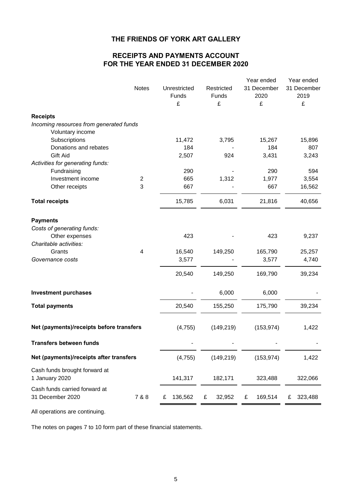## **RECEIPTS AND PAYMENTS ACCOUNT FOR THE YEAR ENDED 31 DECEMBER 2020**

| <b>Notes</b>                                      |                         | Unrestricted<br>Funds<br>£ | Restricted<br>Funds<br>£ | Year ended<br>31 December<br>2020<br>£ | Year ended<br>31 December<br>2019<br>£ |
|---------------------------------------------------|-------------------------|----------------------------|--------------------------|----------------------------------------|----------------------------------------|
| <b>Receipts</b>                                   |                         |                            |                          |                                        |                                        |
| Incoming resources from generated funds           |                         |                            |                          |                                        |                                        |
| Voluntary income                                  |                         |                            |                          |                                        |                                        |
| Subscriptions                                     |                         | 11,472                     | 3,795                    | 15,267                                 | 15,896                                 |
| Donations and rebates                             |                         | 184                        |                          | 184                                    | 807                                    |
| Gift Aid                                          |                         | 2,507                      | 924                      | 3,431                                  | 3,243                                  |
| Activities for generating funds:                  |                         |                            |                          |                                        |                                        |
| Fundraising                                       |                         | 290                        |                          | 290                                    | 594                                    |
| Investment income                                 | $\overline{c}$          | 665                        | 1,312                    | 1,977                                  | 3,554                                  |
| Other receipts                                    | 3                       | 667                        |                          | 667                                    | 16,562                                 |
| <b>Total receipts</b>                             |                         | 15,785                     | 6,031                    | 21,816                                 | 40,656                                 |
| <b>Payments</b>                                   |                         |                            |                          |                                        |                                        |
| Costs of generating funds:                        |                         |                            |                          |                                        |                                        |
| Other expenses<br>Charitable activities:          |                         | 423                        |                          | 423                                    | 9,237                                  |
| Grants                                            | $\overline{\mathbf{4}}$ | 16,540                     | 149,250                  | 165,790                                | 25,257                                 |
| Governance costs                                  |                         | 3,577                      |                          | 3,577                                  | 4,740                                  |
|                                                   |                         |                            |                          |                                        |                                        |
|                                                   |                         | 20,540                     | 149,250                  | 169,790                                | 39,234                                 |
| <b>Investment purchases</b>                       |                         |                            | 6,000                    | 6,000                                  |                                        |
| <b>Total payments</b>                             |                         | 20,540                     | 155,250                  | 175,790                                | 39,234                                 |
| Net (payments)/receipts before transfers          |                         | (4, 755)                   | (149, 219)               | (153, 974)                             | 1,422                                  |
| <b>Transfers between funds</b>                    |                         |                            |                          |                                        |                                        |
| Net (payments)/receipts after transfers           |                         | (4, 755)                   | (149, 219)               |                                        | 1,422                                  |
| Cash funds brought forward at<br>1 January 2020   |                         | 141,317                    | 182,171                  | 323,488                                | 322,066                                |
| Cash funds carried forward at<br>31 December 2020 | 7 & 8                   | 136,562<br>£               | 32,952<br>£              | 169,514<br>£                           | 323,488<br>£                           |
| All operations are continuing.                    |                         |                            |                          |                                        |                                        |

The notes on pages 7 to 10 form part of these financial statements.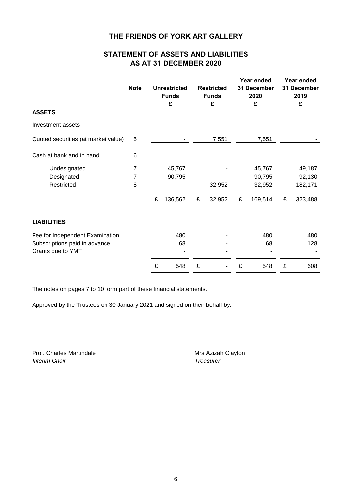# **STATEMENT OF ASSETS AND LIABILITIES AS AT 31 DECEMBER 2020**

|                                     | <b>Note</b><br><b>Unrestricted</b><br><b>Funds</b><br>£ |   | <b>Restricted</b><br><b>Funds</b><br>£ |   |        | Year ended<br>31 December<br>2020<br>£ | Year ended<br>31 December<br>2019<br>£ |   |         |
|-------------------------------------|---------------------------------------------------------|---|----------------------------------------|---|--------|----------------------------------------|----------------------------------------|---|---------|
| <b>ASSETS</b>                       |                                                         |   |                                        |   |        |                                        |                                        |   |         |
| Investment assets                   |                                                         |   |                                        |   |        |                                        |                                        |   |         |
| Quoted securities (at market value) | 5                                                       |   |                                        |   | 7,551  |                                        | 7,551                                  |   |         |
| Cash at bank and in hand            | 6                                                       |   |                                        |   |        |                                        |                                        |   |         |
| Undesignated                        | 7                                                       |   | 45,767                                 |   |        |                                        | 45,767                                 |   | 49,187  |
| Designated                          | 7                                                       |   | 90,795                                 |   |        |                                        | 90,795                                 |   | 92,130  |
| Restricted                          | 8                                                       |   |                                        |   | 32,952 |                                        | 32,952                                 |   | 182,171 |
|                                     |                                                         | £ | 136,562                                | £ | 32,952 | £                                      | 169,514                                | £ | 323,488 |
| <b>LIABILITIES</b>                  |                                                         |   |                                        |   |        |                                        |                                        |   |         |
| Fee for Independent Examination     |                                                         |   | 480                                    |   |        |                                        | 480                                    |   | 480     |
| Subscriptions paid in advance       |                                                         |   | 68                                     |   |        |                                        | 68                                     |   | 128     |
| Grants due to YMT                   |                                                         |   |                                        |   |        |                                        |                                        |   |         |
|                                     |                                                         | £ | 548                                    | £ |        | £                                      | 548                                    | £ | 608     |

The notes on pages 7 to 10 form part of these financial statements.

Approved by the Trustees on 30 January 2021 and signed on their behalf by:

Prof. Charles Martindale Mrs Azizah Clayton *Interim Chair Treasurer*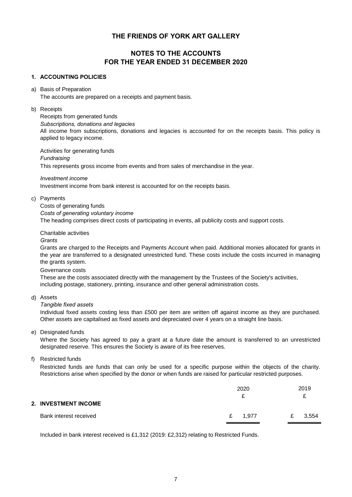## **NOTES TO THE ACCOUNTS FOR THE YEAR ENDED 31 DECEMBER 2020**

### **1. ACCOUNTING POLICIES**

#### a) Basis of Preparation

The accounts are prepared on a receipts and payment basis.

#### b) Receipts

Receipts from generated funds

*Subscriptions, donations and legacies*

All income from subscriptions, donations and legacies is accounted for on the receipts basis. This policy is applied to legacy income.

Activities for generating funds *Fundraising* This represents gross income from events and from sales of merchandise in the year.

*Investment income*

Investment income from bank interest is accounted for on the receipts basis.

### c) Payments

Costs of generating funds *Costs of generating voluntary income* The heading comprises direct costs of participating in events, all publicity costs and support costs.

Charitable activities

#### *Grants*

Grants are charged to the Receipts and Payments Account when paid. Additional monies allocated for grants in the year are transferred to a designated unrestricted fund. These costs include the costs incurred in managing the grants system.

Governance costs

These are the costs associated directly with the management by the Trustees of the Society's activities, including postage, stationery, printing, insurance and other general administration costs.

d) Assets

### *Tangible fixed assets*

Individual fixed assets costing less than £500 per item are written off against income as they are purchased. Other assets are capitalised as fixed assets and depreciated over 4 years on a straight line basis.

e) Designated funds

Where the Society has agreed to pay a grant at a future date the amount is transferred to an unrestricted designated reserve. This ensures the Society is aware of its free reserves.

f) Restricted funds

Restricted funds are funds that can only be used for a specific purpose within the objects of the charity. Restrictions arise when specified by the donor or when funds are raised for particular restricted purposes.

|                             | 2020                  | 2019       |
|-----------------------------|-----------------------|------------|
| <b>2. INVESTMENT INCOME</b> |                       |            |
| Bank interest received      | 1,977<br>$\mathbf{f}$ | 3,554<br>£ |

Included in bank interest received is £1,312 (2019: £2,312) relating to Restricted Funds.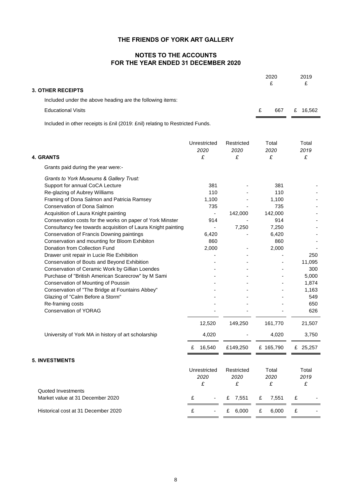### **NOTES TO THE ACCOUNTS FOR THE YEAR ENDED 31 DECEMBER 2020**

|                                                                                                |                                   | 2020<br>£               | 2019<br>£          |                    |
|------------------------------------------------------------------------------------------------|-----------------------------------|-------------------------|--------------------|--------------------|
| <b>3. OTHER RECEIPTS</b>                                                                       |                                   |                         |                    |                    |
| Included under the above heading are the following items:                                      |                                   |                         |                    |                    |
| <b>Educational Visits</b>                                                                      |                                   |                         | £<br>667           | £ 16,562           |
| Included in other receipts is £nil (2019: £nil) relating to Restricted Funds.                  |                                   |                         |                    |                    |
|                                                                                                | Unrestricted<br>2020              | Restricted<br>2020      | Total<br>2020      | Total<br>2019      |
| <b>4. GRANTS</b>                                                                               | £                                 | £                       | £                  | £                  |
| Grants paid during the year were:-                                                             |                                   |                         |                    |                    |
| Grants to York Museums & Gallery Trust:                                                        |                                   |                         |                    |                    |
| Support for annual CoCA Lecture                                                                | 381                               |                         | 381                |                    |
| Re-glazing of Aubrey Williams                                                                  | 110                               |                         | 110                |                    |
| Framing of Dona Salmon and Patricia Ramsey                                                     | 1,100                             |                         | 1,100              |                    |
| Conservation of Dona Salmon                                                                    | 735                               |                         | 735                |                    |
| Acquisition of Laura Knight painting                                                           | $\blacksquare$                    | 142,000                 | 142,000            |                    |
| Conservation costs for the works on paper of York Minster                                      | 914                               |                         | 914                |                    |
| Consultancy fee towards acquisition of Laura Knight painting                                   |                                   | 7,250                   | 7,250              |                    |
| Conservation of Francis Downing paintings                                                      | 6,420                             |                         | 6,420              |                    |
| Conservation and mounting for Bloom Exhibiton                                                  | 860                               |                         | 860                |                    |
| Donation from Collection Fund                                                                  | 2,000                             |                         | 2,000              |                    |
| Drawer unit repair in Lucie Rie Exhibition                                                     |                                   |                         |                    | 250                |
| Conservation of Bouts and Beyond Exhibition<br>Conservation of Ceramic Work by Gillian Loendes |                                   |                         |                    | 11,095<br>300      |
| Purchase of "British American Scarecrow" by M Sami                                             |                                   |                         |                    | 5,000              |
| Conservation of Mounting of Poussin                                                            |                                   |                         |                    | 1,874              |
| Conservation of "The Bridge at Fountains Abbey"                                                |                                   |                         |                    | 1,163              |
| Glazing of "Calm Before a Storm"                                                               |                                   |                         |                    | 549                |
| Re-framing costs                                                                               |                                   |                         |                    | 650                |
| <b>Conservation of YORAG</b>                                                                   |                                   |                         |                    | 626                |
|                                                                                                | 12,520                            | 149,250                 | 161,770            | 21,507             |
| University of York MA in history of art scholarship                                            | 4,020                             |                         | 4,020              | 3,750              |
|                                                                                                | 16,540<br>£                       | £149,250                | £ 165,790          | £ 25,257           |
| <b>5. INVESTMENTS</b>                                                                          |                                   |                         |                    |                    |
|                                                                                                | Unrestricted<br>2020<br>£         | Restricted<br>2020<br>£ | Total<br>2020<br>£ | Total<br>2019<br>£ |
| Quoted Investments<br>Market value at 31 December 2020                                         | £<br>$\qquad \qquad \blacksquare$ | 7,551<br>£              | 7,551<br>£         | £                  |
| Historical cost at 31 December 2020                                                            | £                                 | £ $6,000$               | 6,000<br>£         | £                  |
|                                                                                                |                                   |                         |                    |                    |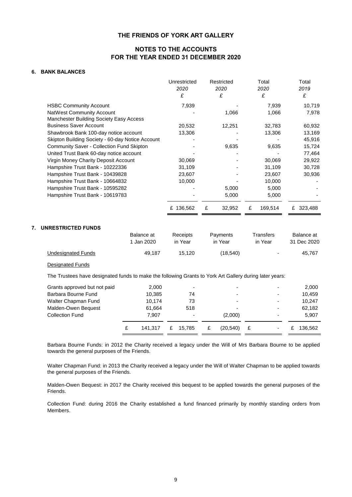### **NOTES TO THE ACCOUNTS FOR THE YEAR ENDED 31 DECEMBER 2020**

#### **6. BANK BALANCES**

|                                                  | Unrestricted<br>2020 | Restricted<br>2020 | Total<br>2020 | Total<br>2019 |
|--------------------------------------------------|----------------------|--------------------|---------------|---------------|
|                                                  | £                    | £                  | £             | £             |
| <b>HSBC Community Account</b>                    | 7,939                |                    | 7,939         | 10,719        |
| <b>NatWest Community Account</b>                 |                      | 1,066              | 1,066         | 7,978         |
| <b>Manchester Building Society Easy Access</b>   |                      |                    |               |               |
| <b>Business Saver Account</b>                    | 20,532               | 12,251             | 32,783        | 60,932        |
| Shawbrook Bank 100-day notice account            | 13,306               |                    | 13,306        | 13,169        |
| Skipton Building Society - 60-day Notice Account |                      |                    |               | 45,916        |
| <b>Community Saver - Collection Fund Skipton</b> |                      | 9,635              | 9,635         | 15,724        |
| United Trust Bank 60-day notice account          |                      |                    |               | 77,464        |
| Virgin Money Charity Deposit Account             | 30,069               |                    | 30,069        | 29,922        |
| Hampshire Trust Bank - 10222336                  | 31,109               |                    | 31,109        | 30,728        |
| Hampshire Trust Bank - 10439828                  | 23,607               |                    | 23,607        | 30,936        |
| Hampshire Trust Bank - 10664832                  | 10,000               |                    | 10,000        |               |
| Hampshire Trust Bank - 10595282                  |                      | 5,000              | 5,000         |               |
| Hampshire Trust Bank - 10619783                  |                      | 5,000              | 5,000         |               |
|                                                  | £ 136,562            | £<br>32,952        | 169,514<br>£  | 323,488<br>£  |

#### **7. UNRESTRICTED FUNDS**

|                    | Balance at | Receipts | Payments | Transfers | Balance at  |
|--------------------|------------|----------|----------|-----------|-------------|
|                    | 1 Jan 2020 | in Year  | in Year  | in Year   | 31 Dec 2020 |
| Undesignated Funds | 49.187     | 15.120   | (18,540) | ٠         | 45.767      |

#### Designated Funds

The Trustees have designated funds to make the following Grants to York Art Gallery during later years:

| Grants approved but not paid | 2,000   |   | ۰      |   |          |   | -                        |   | 2,000   |
|------------------------------|---------|---|--------|---|----------|---|--------------------------|---|---------|
| Barbara Bourne Fund          | 10.385  |   | 74     |   |          |   | $\overline{\phantom{0}}$ |   | 10.459  |
| Walter Chapman Fund          | 10.174  |   | 73     |   |          |   | $\overline{\phantom{0}}$ |   | 10.247  |
| Malden-Owen Bequest          | 61.664  |   | 518    |   |          |   |                          |   | 62,182  |
| Collection Fund              | 7.907   |   |        |   | (2,000)  |   | $\overline{\phantom{0}}$ |   | 5.907   |
|                              | 141.317 | £ | 15.785 | £ | (20.540) | £ | ۰                        | £ | 136.562 |

Barbara Bourne Funds: in 2012 the Charity received a legacy under the Will of Mrs Barbara Bourne to be applied towards the general purposes of the Friends.

Walter Chapman Fund: in 2013 the Charity received a legacy under the Will of Walter Chapman to be applied towards the general purposes of the Friends.

Malden-Owen Bequest: in 2017 the Charity received this bequest to be applied towards the general purposes of the Friends.

Collection Fund: during 2016 the Charity established a fund financed primarily by monthly standing orders from Members.